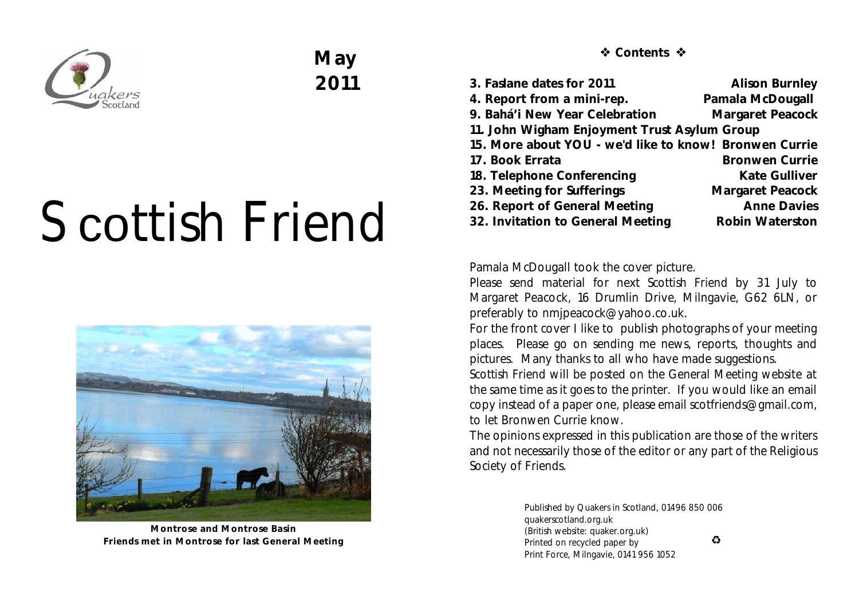

# **May 2011**

# Scottish Friend



**Montrose and Montrose Basin Friends met in Montrose for last General Meeting**

#### **Contents**

| 3. Faslane dates for 2011                              | <b>Alison Burnley</b>  |
|--------------------------------------------------------|------------------------|
| 4. Report from a mini-rep.                             | Pamala McDougall       |
| 9. Bahá'i New Year Celebration                         | Margaret Peacock       |
| 11. John Wigham Enjoyment Trust Asylum Group           |                        |
| 15. More about YOU - we'd like to know! Bronwen Currie |                        |
| 17. Book Errata                                        | <b>Bronwen Currie</b>  |
| 18. Telephone Conferencing                             | Kate Gulliver          |
| 23. Meeting for Sufferings                             | Margaret Peacock       |
| 26. Report of General Meeting                          | <b>Anne Davies</b>     |
| 32. Invitation to General Meeting                      | <b>Robin Waterston</b> |

Pamala McDougall took the cover picture.

Please send material for next *Scottish Friend* by 31 July to Margaret Peacock, 16 Drumlin Drive, Milngavie, G62 6LN, or preferably to nmjpeacock@yahoo.co.uk.

For the front cover I like to publish photographs of your meeting places. Please go on sending me news, reports, thoughts and pictures. Many thanks to all who have made suggestions.

*Scottish Friend* will be posted on the General Meeting website at the same time as it goes to the printer. If you would like an email copy instead of a paper one, please email scotfriends@gmail.com, to let Bronwen Currie know.

The opinions expressed in this publication are those of the writers and not necessarily those of the editor or any part of the Religious Society of Friends.

> Published by Quakers in Scotland, 01496 850 006 quakerscotland.org.uk (British website: quaker.org.uk)  $\bullet$ Printed on recycled paper by Print Force, Milngavie, 0141 956 1052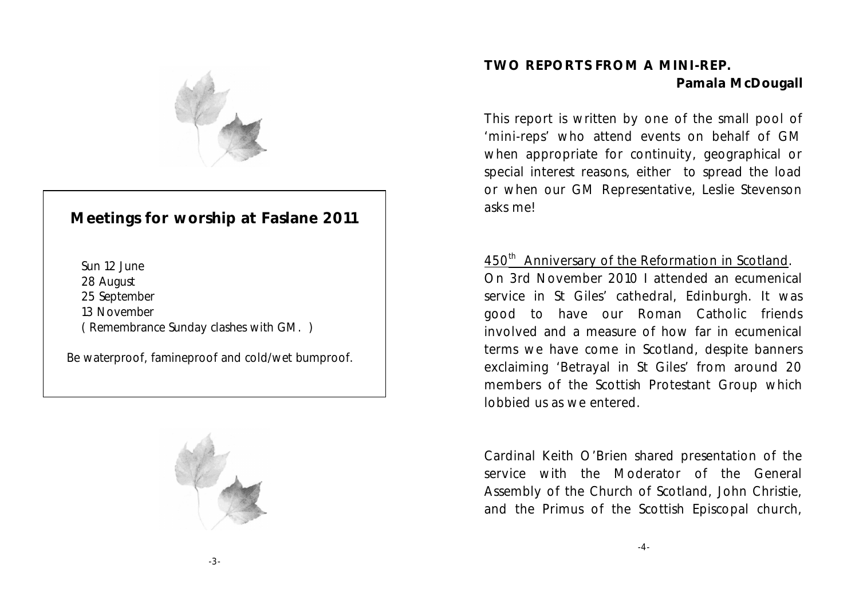

# **Meetings for worship at Faslane 2011**

 Sun 12 June 28 August 25 September 13 November ( Remembrance Sunday clashes with GM. )

Be waterproof, famineproof and cold/wet bumproof.



**TWO REPORTS FROM A MINI-REP. Pamala McDougall**

This report is written by one of the small pool of 'mini-reps' who attend events on behalf of GM when appropriate for continuity, geographical or special interest reasons, either to spread the load or when our GM Representative, Leslie Stevenson asks me!

450<sup>th</sup> Anniversary of the Reformation in Scotland. On 3rd November 2010 I attended an ecumenical service in St Giles' cathedral, Edinburgh. It was good to have our Roman Catholic friends involved and a measure of how far in ecumenical terms we have come in Scotland, despite banners exclaiming 'Betrayal in St Giles' from around 20 members of the Scottish Protestant Group which lobbied us as we entered.

Cardinal Keith O'Brien shared presentation of the service with the Moderator of the General Assembly of the Church of Scotland, John Christie, and the Primus of the Scottish Episcopal church,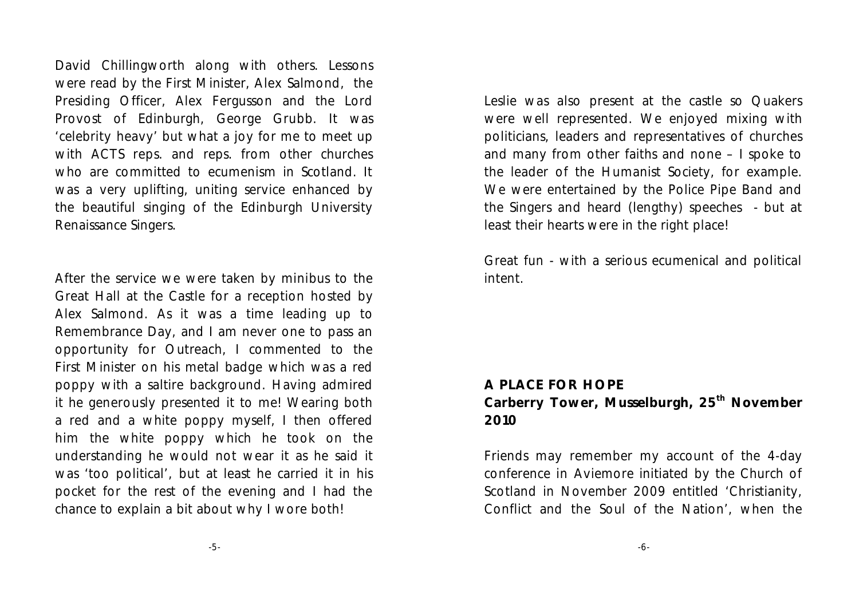David Chillingworth along with others. Lessons were read by the First Minister, Alex Salmond, the Presiding Officer, Alex Fergusson and the Lord Provost of Edinburgh, George Grubb. It was 'celebrity heavy' but what a joy for me to meet up with ACTS reps. and reps. from other churches who are committed to ecumenism in Scotland. It was a very uplifting, uniting service enhanced by the beautiful singing of the Edinburgh University Renaissance Singers.

After the service we were taken by minibus to the Great Hall at the Castle for a reception hosted by Alex Salmond. As it was a time leading up to Remembrance Day, and I am never one to pass an opportunity for Outreach, I commented to the First Minister on his metal badge which was a red poppy with a saltire background. Having admired it he generously presented it to me! Wearing both a red and a white poppy myself, I then offered him the white poppy which he took on the understanding he would not wear it as he said it was 'too political', but at least he carried it in his pocket for the rest of the evening and I had the chance to explain a bit about why I wore both!

Leslie was also present at the castle so Quakers were well represented. We enjoyed mixing with politicians, leaders and representatives of churches and many from other faiths and none – I spoke to the leader of the Humanist Society, for example. We were entertained by the Police Pipe Band and the Singers and heard (lengthy) speeches - but at least their hearts were in the right place!

Great fun - with a serious ecumenical and political intent.

#### **A PLACE FOR HOPE**

Carberry Tower, Musselburgh, 25<sup>th</sup> November **2010**

Friends may remember my account of the 4-day conference in Aviemore initiated by the Church of Scotland in November 2009 entitled 'Christianity, Conflict and the Soul of the Nation', when the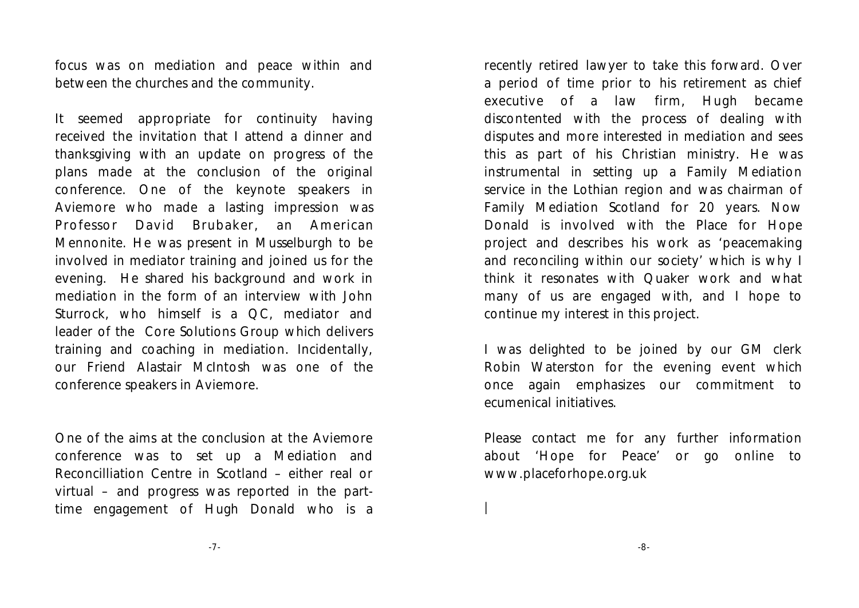focus was on mediation and peace within and between the churches and the community.

It seemed appropriate for continuity having received the invitation that I attend a dinner and thanksgiving with an update on progress of the plans made at the conclusion of the original conference. One of the keynote speakers in Aviemore who made a lasting impression was Professor David Brubaker, an American Mennonite. He was present in Musselburgh to be involved in mediator training and joined us for the evening. He shared his background and work in mediation in the form of an interview with John Sturrock, who himself is a QC, mediator and leader of the Core Solutions Group which delivers training and coaching in mediation. Incidentally, our Friend Alastair McIntosh was one of the conference speakers in Aviemore.

One of the aims at the conclusion at the Aviemore conference was to set up a Mediation and Reconcilliation Centre in Scotland – either real or virtual – and progress was reported in the parttime engagement of Hugh Donald who is a

recently retired lawyer to take this forward. Over a period of time prior to his retirement as chief executive of a law firm, Hugh became discontented with the process of dealing with disputes and more interested in mediation and sees this as part of his Christian ministry. He was instrumental in setting up a Family Mediation service in the Lothian region and was chairman of Family Mediation Scotland for 20 years. Now Donald is involved with the Place for Hope project and describes his work as 'peacemaking and reconciling within our society' which is why I think it resonates with Quaker work and what many of us are engaged with, and I hope to continue my interest in this project.

I was delighted to be joined by our GM clerk Robin Waterston for the evening event which once again emphasizes our commitment to ecumenical initiatives.

Please contact me for any further information about 'Hope for Peace' or go online to www.placeforhope.org.uk

|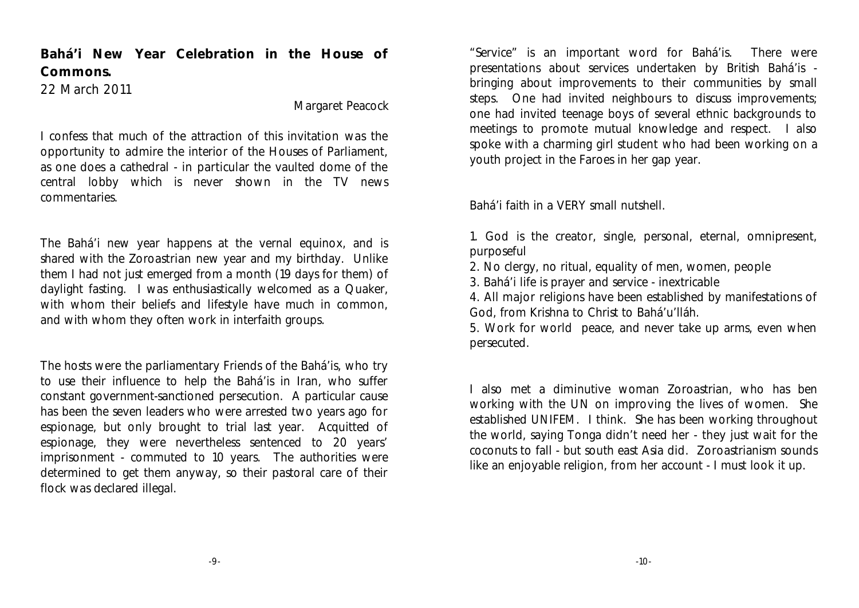**Bahá'i New Year Celebration in the House of Commons.** 

22 March 2011

Margaret Peacock

I confess that much of the attraction of this invitation was the opportunity to admire the interior of the Houses of Parliament, as one does a cathedral - in particular the vaulted dome of the central lobby which is never shown in the TV news commentaries.

The Bahá'i new year happens at the vernal equinox, and is shared with the Zoroastrian new year and my birthday. Unlike them I had not just emerged from a month (19 days for them) of daylight fasting. I was enthusiastically welcomed as a Quaker, with whom their beliefs and lifestyle have much in common, and with whom they often work in interfaith groups.

The hosts were the parliamentary Friends of the Bahá'is, who try to use their influence to help the Bahá'is in Iran, who suffer constant government-sanctioned persecution. A particular cause has been the seven leaders who were arrested two years ago for espionage, but only brought to trial last year. Acquitted of espionage, they were nevertheless sentenced to 20 years' imprisonment - commuted to 10 years. The authorities were determined to get them anyway, so their pastoral care of their flock was declared illegal.

"Service" is an important word for Bahá'is. There were presentations about services undertaken by British Bahá'is bringing about improvements to their communities by small steps. One had invited neighbours to discuss improvements; one had invited teenage boys of several ethnic backgrounds to meetings to promote mutual knowledge and respect. I also spoke with a charming girl student who had been working on a youth project in the Faroes in her gap year.

Bahá'i faith in a VERY small nutshell.

1. God is the creator, single, personal, eternal, omnipresent, purposeful

2. No clergy, no ritual, equality of men, women, people

3. Bahá'i life is prayer and service - inextricable

4. All major religions have been established by manifestations of God, from Krishna to Christ to Bahá'u'lláh.

5. Work for world peace, and never take up arms, even when persecuted.

I also met a diminutive woman Zoroastrian, who has ben working with the UN on improving the lives of women. She established *UNIFEM*. I think. She has been working throughout the world, saying Tonga didn't need her - they just wait for the coconuts to fall - but south east Asia did. Zoroastrianism sounds like an enjoyable religion, from her account - I must look it up.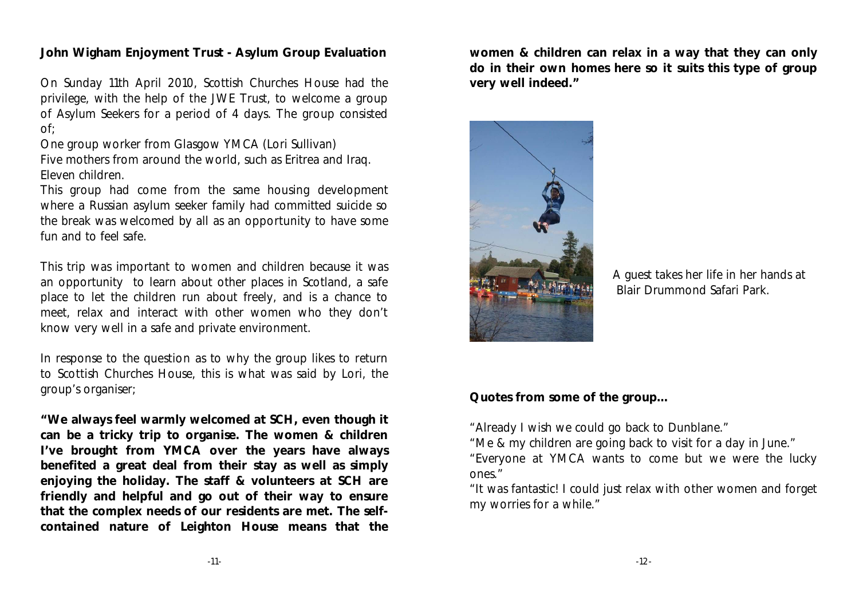**John Wigham Enjoyment Trust - Asylum Group Evaluation**

On Sunday 11th April 2010, Scottish Churches House had the privilege, with the help of the JWE Trust, to welcome a group of Asylum Seekers for a period of 4 days. The group consisted of;

One group worker from Glasgow YMCA (Lori Sullivan) Five mothers from around the world, such as Eritrea and Iraq. Eleven children.

This group had come from the same housing development where a Russian asylum seeker family had committed suicide so the break was welcomed by all as an opportunity to have some fun and to feel safe.

This trip was important to women and children because it was an opportunity to learn about other places in Scotland, a safe place to let the children run about freely, and is a chance to meet, relax and interact with other women who they don't know very well in a safe and private environment.

In response to the question as to why the group likes to return to Scottish Churches House, this is what was said by Lori, the group's organiser;

**"We always feel warmly welcomed at SCH, even though it can be a tricky trip to organise. The women & children I've brought from YMCA over the years have always benefited a great deal from their stay as well as simply enjoying the holiday. The staff & volunteers at SCH are friendly and helpful and go out of their way to ensure that the complex needs of our residents are met. The selfcontained nature of Leighton House means that the** **women & children can relax in a way that they can only do in their own homes here so it suits this type of group very well indeed."**



A guest takes her life in her hands at Blair Drummond Safari Park.

**Quotes from some of the group…**

"Already I wish we could go back to Dunblane."

"Me & my children are going back to visit for a day in June." "Everyone at YMCA wants to come but we were the lucky ones."

"It was fantastic! I could just relax with other women and forget my worries for a while."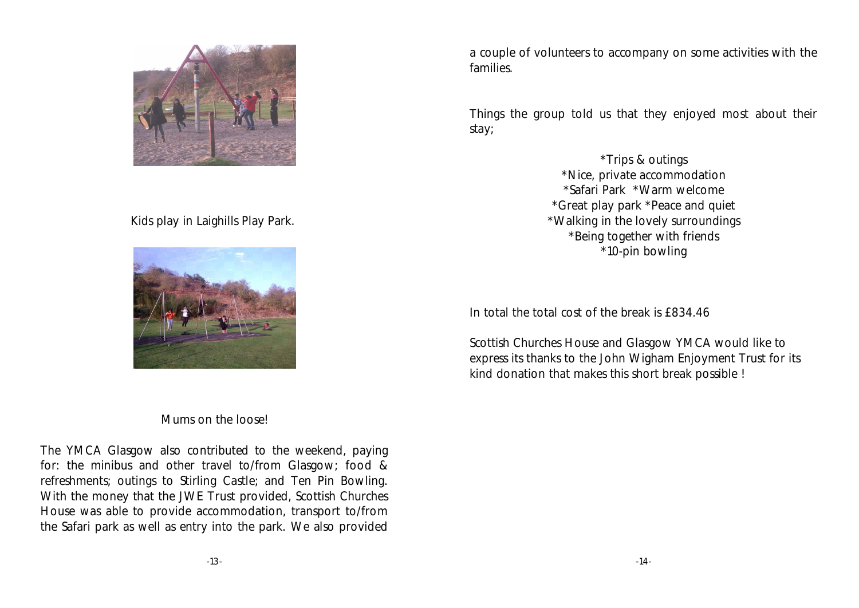

Kids play in Laighills Play Park.



Mums on the loosel

The YMCA Glasgow also contributed to the weekend, paying for: the minibus and other travel to/from Glasgow; food & refreshments; outings to Stirling Castle; and Ten Pin Bowling. With the money that the JWE Trust provided, Scottish Churches House was able to provide accommodation, transport to/from the Safari park as well as entry into the park. We also provided a couple of volunteers to accompany on some activities with the families.

Things the group told us that they enjoyed most about their stay;

> \*Trips & outings \*Nice, private accommodation \*Safari Park \*Warm welcome \*Great play park \*Peace and quiet \*Walking in the lovely surroundings \*Being together with friends \*10-pin bowling

In total the total cost of the break is £834.46

Scottish Churches House and Glasgow YMCA would like to express its thanks to the John Wigham Enjoyment Trust for its kind donation that makes this short break possible !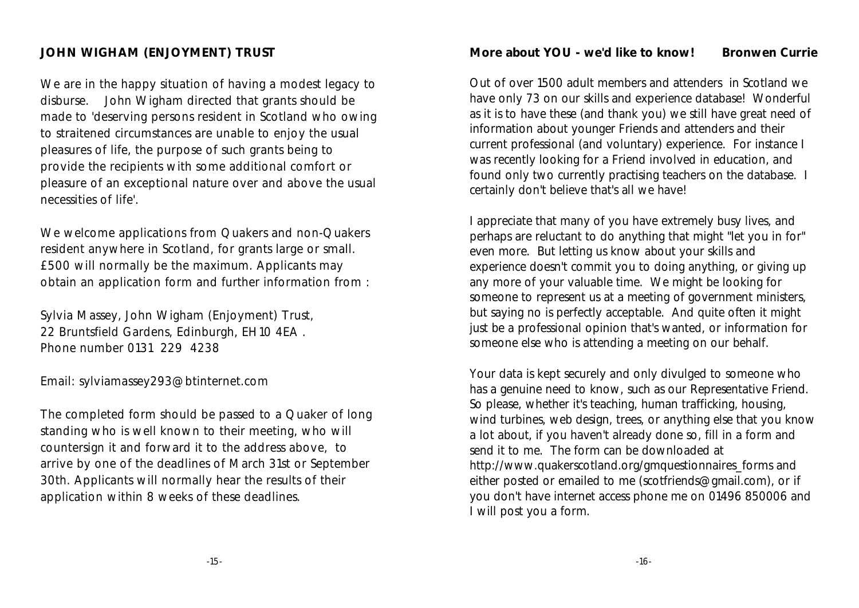#### **JOHN WIGHAM (ENJOYMENT) TRUST**

We are in the happy situation of having a modest legacy to disburse. John Wigham directed that grants should be made to 'deserving persons resident in Scotland who owing to straitened circumstances are unable to enjoy the usual pleasures of life, the purpose of such grants being to provide the recipients with some additional comfort or pleasure of an exceptional nature over and above the usual necessities of life'.

We welcome applications from Quakers and non-Quakers resident anywhere in Scotland, for grants large or small. £500 will normally be the maximum. Applicants may obtain an application form and further information from :

Sylvia Massey, John Wigham (Enjoyment) Trust, 22 Bruntsfield Gardens, Edinburgh, EH10 4EA . Phone number 0131 229 4238

Email: sylviamassey293@btinternet.com

The completed form should be passed to a Quaker of long standing who is well known to their meeting, who will countersign it and forward it to the address above, to arrive by one of the deadlines of March 31st or September 30th. Applicants will normally hear the results of their application within 8 weeks of these deadlines.

Out of over 1500 adult members and attenders in Scotland we have only 73 on our skills and experience database! Wonderful as it is to have these (and thank you) we still have great need of information about younger Friends and attenders and their current professional (and voluntary) experience. For instance I was recently looking for a Friend involved in education, and found only two currently practising teachers on the database. I certainly don't believe that's all we have!

I appreciate that many of you have extremely busy lives, and perhaps are reluctant to do anything that might "let you in for" even more. But letting us know about your skills and experience doesn't commit you to doing anything, or giving up any more of your valuable time. We might be looking for someone to represent us at a meeting of government ministers, but saying no is perfectly acceptable. And quite often it might just be a professional opinion that's wanted, or information for someone else who is attending a meeting on our behalf.

Your data is kept securely and only divulged to someone who has a genuine need to know, such as our Representative Friend. So please, whether it's teaching, human trafficking, housing, wind turbines, web design, trees, or anything else that you know a lot about, if you haven't already done so, fill in a form and send it to me. The form can be downloaded at http://www.quakerscotland.org/gmquestionnaires\_forms and either posted or emailed to me (scotfriends@gmail.com), or if you don't have internet access phone me on 01496 850006 and I will post you a form.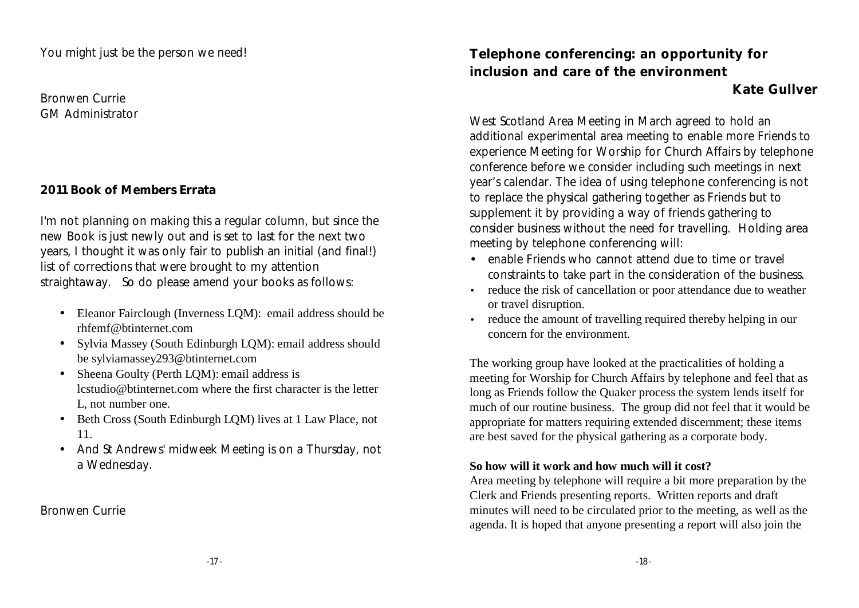You might just be the person we need!

#### Bronwen Currie GM Administrator

## **2011 Book of Members Errata**

I'm not planning on making this a regular column, but since the new Book is just newly out and is set to last for the next two years, I thought it was only fair to publish an initial (and final!) list of corrections that were brought to my attention straightaway. So do please amend your books as follows:

- Eleanor Fairclough (Inverness LQM): email address should be rhfemf@btinternet.com
- Sylvia Massey (South Edinburgh LQM): email address should be sylviamassey293@btinternet.com
- Sheena Goulty (Perth LOM): email address is lcstudio@btinternet.com where the first character is the letter L, not number one.
- Beth Cross (South Edinburgh LQM) lives at 1 Law Place, not 11.
- And St Andrews' midweek Meeting is on a Thursday, not a Wednesday.

Bronwen Currie

**Telephone conferencing: an opportunity for inclusion and care of the environment**

#### **Kate Gullver**

West Scotland Area Meeting in March agreed to hold an additional experimental area meeting to enable more Friends to experience Meeting for Worship for Church Affairs by telephone conference before we consider including such meetings in next year's calendar. The idea of using telephone conferencing is not to replace the physical gathering together as Friends but to supplement it by providing a way of friends gathering to consider business without the need for travelling. Holding area meeting by telephone conferencing will:

- enable Friends who cannot attend due to time or travel constraints to take part in the consideration of the business.
- reduce the risk of cancellation or poor attendance due to weather or travel disruption.
- reduce the amount of travelling required thereby helping in our concern for the environment.

The working group have looked at the practicalities of holding a meeting for Worship for Church Affairs by telephone and feel that as long as Friends follow the Quaker process the system lends itself for much of our routine business. The group did not feel that it would be appropriate for matters requiring extended discernment; these items are best saved for the physical gathering as a corporate body.

#### **So how will it work and how much will it cost?**

Area meeting by telephone will require a bit more preparation by the Clerk and Friends presenting reports. Written reports and draft minutes will need to be circulated prior to the meeting, as well as the agenda. It is hoped that anyone presenting a report will also join the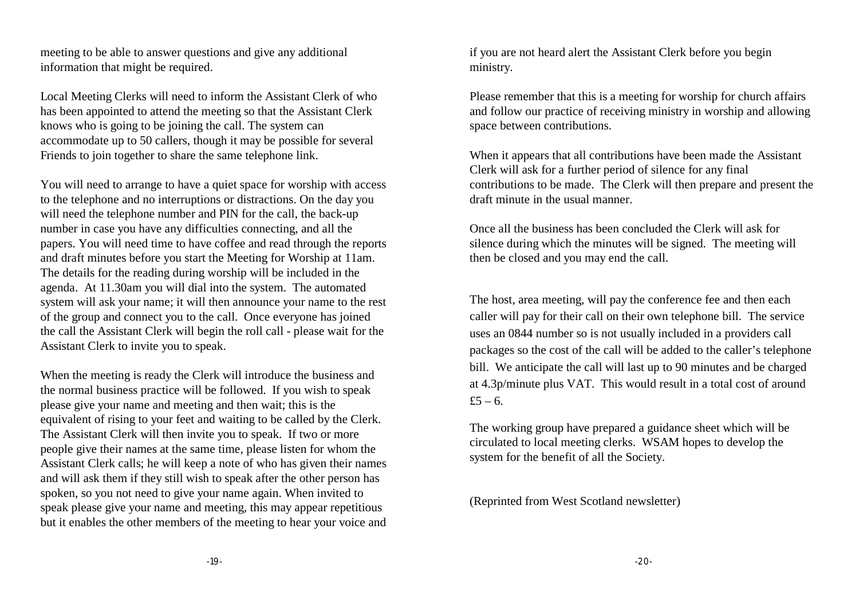meeting to be able to answer questions and give any additional information that might be required.

Local Meeting Clerks will need to inform the Assistant Clerk of who has been appointed to attend the meeting so that the Assistant Clerk knows who is going to be joining the call. The system can accommodate up to 50 callers, though it may be possible for several Friends to join together to share the same telephone link.

You will need to arrange to have a quiet space for worship with access to the telephone and no interruptions or distractions. On the day you will need the telephone number and PIN for the call, the back-up number in case you have any difficulties connecting, and all the papers. You will need time to have coffee and read through the reports and draft minutes before you start the Meeting for Worship at 11am. The details for the reading during worship will be included in the agenda. At 11.30am you will dial into the system. The automated system will ask your name; it will then announce your name to the rest of the group and connect you to the call. Once everyone has joined the call the Assistant Clerk will begin the roll call - please wait for the Assistant Clerk to invite you to speak.

When the meeting is ready the Clerk will introduce the business and the normal business practice will be followed. If you wish to speak please give your name and meeting and then wait; this is the equivalent of rising to your feet and waiting to be called by the Clerk. The Assistant Clerk will then invite you to speak. If two or more people give their names at the same time, please listen for whom the Assistant Clerk calls; he will keep a note of who has given their names and will ask them if they still wish to speak after the other person has spoken, so you not need to give your name again. When invited to speak please give your name and meeting, this may appear repetitious but it enables the other members of the meeting to hear your voice and

if you are not heard alert the Assistant Clerk before you begin ministry.

Please remember that this is a meeting for worship for church affairs and follow our practice of receiving ministry in worship and allowing space between contributions.

When it appears that all contributions have been made the Assistant Clerk will ask for a further period of silence for any final contributions to be made. The Clerk will then prepare and present the draft minute in the usual manner.

Once all the business has been concluded the Clerk will ask for silence during which the minutes will be signed. The meeting will then be closed and you may end the call.

The host, area meeting, will pay the conference fee and then each caller will pay for their call on their own telephone bill. The service uses an 0844 number so is not usually included in a providers call packages so the cost of the call will be added to the caller's telephone bill. We anticipate the call will last up to 90 minutes and be charged at 4.3p/minute plus VAT. This would result in a total cost of around  $f - 6$ 

The working group have prepared a guidance sheet which will be circulated to local meeting clerks. WSAM hopes to develop the system for the benefit of all the Society.

(Reprinted from West Scotland newsletter)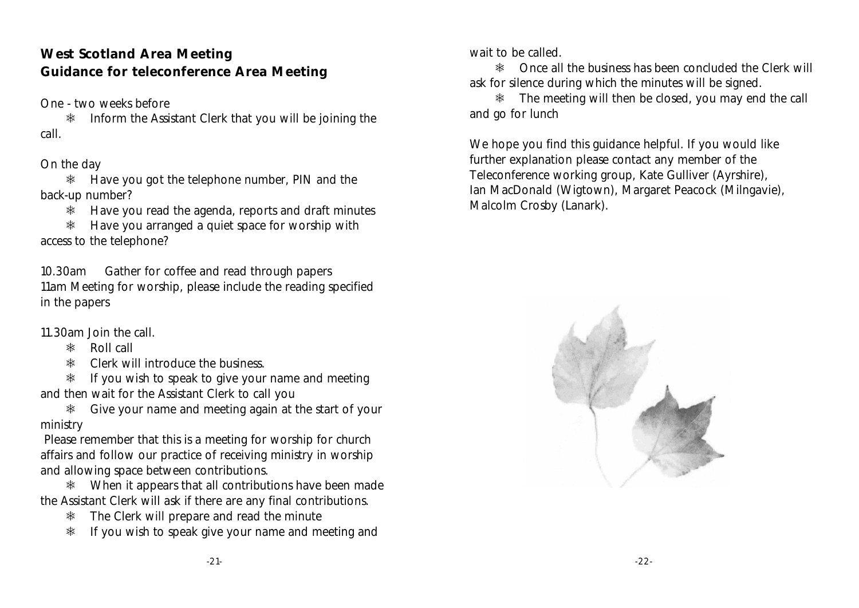**West Scotland Area Meeting Guidance for teleconference Area Meeting**

#### One - two weeks before

 Inform the Assistant Clerk that you will be joining the call.

#### On the day

 Have you got the telephone number, PIN and the back-up number?

Have you read the agenda, reports and draft minutes

 Have you arranged a quiet space for worship with access to the telephone?

10.30am Gather for coffee and read through papers 11am Meeting for worship, please include the reading specified in the papers

11.30am Join the call.

## Roll call

Clerk will introduce the business.

 If you wish to speak to give your name and meeting and then wait for the Assistant Clerk to call you

 Give your name and meeting again at the start of your ministry

 Please remember that this is a meeting for worship for church affairs and follow our practice of receiving ministry in worship and allowing space between contributions.

 When it appears that all contributions have been made the Assistant Clerk will ask if there are any final contributions.

- The Clerk will prepare and read the minute
- If you wish to speak give your name and meeting and

wait to be called.

 Once all the business has been concluded the Clerk will ask for silence during which the minutes will be signed.

 The meeting will then be closed, you may end the call and go for lunch

We hope you find this guidance helpful. If you would like further explanation please contact any member of the Teleconference working group, Kate Gulliver (Ayrshire), Ian MacDonald (Wigtown), Margaret Peacock (Milngavie), Malcolm Crosby (Lanark).

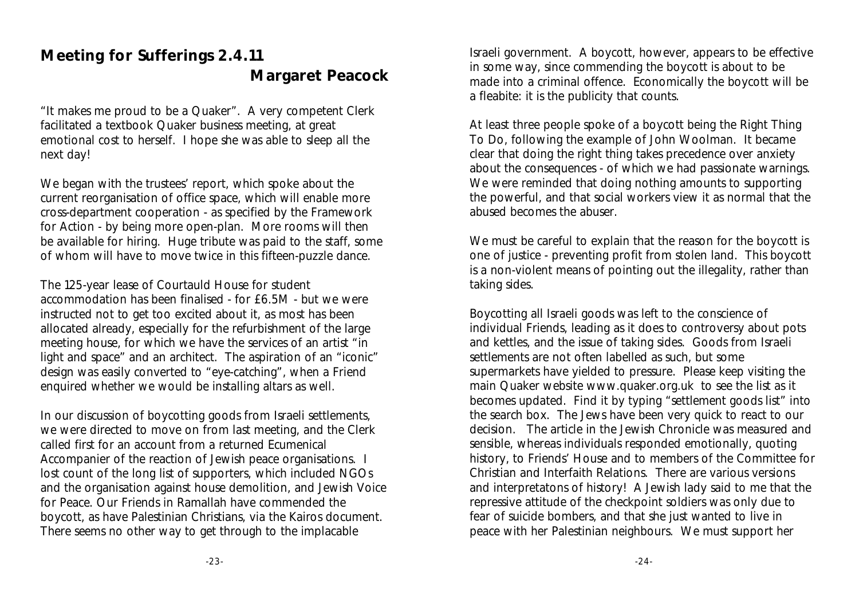# **Meeting for Sufferings 2.4.11 Margaret Peacock**

"It makes me proud to be a Quaker". A very competent Clerk facilitated a textbook Quaker business meeting, at great emotional cost to herself. I hope she was able to sleep all the next day!

We began with the trustees' report, which spoke about the current reorganisation of office space, which will enable more cross-department cooperation - as specified by the Framework for Action - by being more open-plan. More rooms will then be available for hiring. Huge tribute was paid to the staff, some of whom will have to move twice in this fifteen-puzzle dance.

The 125-year lease of Courtauld House for student accommodation has been finalised - for £6.5M - but we were instructed not to get too excited about it, as most has been allocated already, especially for the refurbishment of the large meeting house, for which we have the services of an artist "in light and space" and an architect. The aspiration of an "iconic" design was easily converted to "eye-catching", when a Friend enquired whether we would be installing altars as well.

In our discussion of boycotting goods from Israeli settlements, we were directed to move on from last meeting, and the Clerk called first for an account from a returned Ecumenical Accompanier of the reaction of Jewish peace organisations. I lost count of the long list of supporters, which included NGOs and the organisation against house demolition, and Jewish Voice for Peace. Our Friends in Ramallah have commended the boycott, as have Palestinian Christians, via the Kairos document. There seems no other way to get through to the implacable

Israeli government. A boycott, however, appears to be effective in some way, since commending the boycott is about to be made into a criminal offence. Economically the boycott will be a fleabite: it is the publicity that counts.

At least three people spoke of a boycott being the Right Thing To Do, following the example of John Woolman. It became clear that doing the right thing takes precedence over anxiety about the consequences - of which we had passionate warnings. We were reminded that doing nothing amounts to supporting the powerful, and that social workers view it as normal that the abused becomes the abuser.

We must be careful to explain that the reason for the boycott is one of justice - preventing profit from stolen land. This boycott is a non-violent means of pointing out the illegality, rather than taking sides.

Boycotting all Israeli goods was left to the conscience of individual Friends, leading as it does to controversy about pots and kettles, and the issue of taking sides. Goods from Israeli settlements are not often labelled as such, but some supermarkets have yielded to pressure. Please keep visiting the main Quaker website www.quaker.org.uk to see the list as it becomes updated. Find it by typing "settlement goods list" into the search box. The Jews have been very quick to react to our decision. The article in the Jewish Chronicle was measured and sensible, whereas individuals responded emotionally, quoting history, to Friends' House and to members of the Committee for Christian and Interfaith Relations. There are various versions and interpretatons of history! A Jewish lady said to me that the repressive attitude of the checkpoint soldiers was only due to fear of suicide bombers, and that she just wanted to live in peace with her Palestinian neighbours. We must support her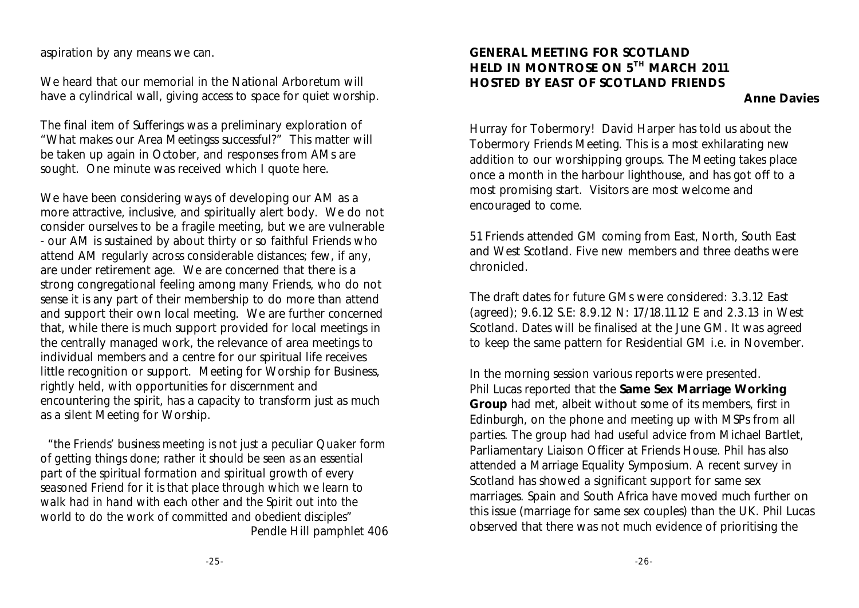aspiration by any means we can.

We heard that our memorial in the National Arboretum will have a cylindrical wall, giving access to space for quiet worship.

The final item of Sufferings was a preliminary exploration of "What makes our Area Meetingss successful?" This matter will be taken up again in October, and responses from AMs are sought. One minute was received which I quote here.

We have been considering ways of developing our AM as a more attractive, inclusive, and spiritually alert body. We do not consider ourselves to be a fragile meeting, but we are vulnerable - our AM is sustained by about thirty or so faithful Friends who attend AM regularly across considerable distances; few, if any, are under retirement age. We are concerned that there is a strong congregational feeling among many Friends, who do not sense it is any part of their membership to do more than attend and support their own local meeting. We are further concerned that, while there is much support provided for local meetings in the centrally managed work, the relevance of area meetings to individual members and a centre for our spiritual life receives little recognition or support. Meeting for Worship for Business, rightly held, with opportunities for discernment and encountering the spirit, has a capacity to transform just as much as a silent Meeting for Worship.

 "*the Friends' business meeting is not just a peculiar Quaker form of getting things done; rather it should be seen as an essential part of the spiritual formation and spiritual growth of every seasoned Friend for it is that place through which we learn to walk had in hand with each other and the Spirit out into the world to do the work of committed and obedient disciples"* Pendle Hill pamphlet 406

#### **GENERAL MEETING FOR SCOTLAND HELD IN MONTROSE ON 5<sup>TH</sup> MARCH 2011 HOSTED BY EAST OF SCOTLAND FRIENDS**

**Anne Davies**

Hurray for Tobermory! David Harper has told us about the Tobermory Friends Meeting. This is a most exhilarating new addition to our worshipping groups. The Meeting takes place once a month in the harbour lighthouse, and has got off to a most promising start. Visitors are most welcome and encouraged to come.

51 Friends attended GM coming from East, North, South East and West Scotland. Five new members and three deaths were chronicled.

The draft dates for future GMs were considered: 3.3.12 East (agreed); 9.6.12 S.E: 8.9.12 N: 17/18.11.12 E and 2.3.13 in West Scotland. Dates will be finalised at the June GM. It was agreed to keep the same pattern for Residential GM i.e. in November.

In the morning session various reports were presented. Phil Lucas reported that the **Same Sex Marriage Working Group** had met, albeit without some of its members, first in Edinburgh, on the phone and meeting up with MSPs from all parties. The group had had useful advice from Michael Bartlet, Parliamentary Liaison Officer at Friends House. Phil has also attended a Marriage Equality Symposium. A recent survey in Scotland has showed a significant support for same sex marriages. Spain and South Africa have moved much further on this issue (marriage for same sex couples) than the UK. Phil Lucas observed that there was not much evidence of prioritising the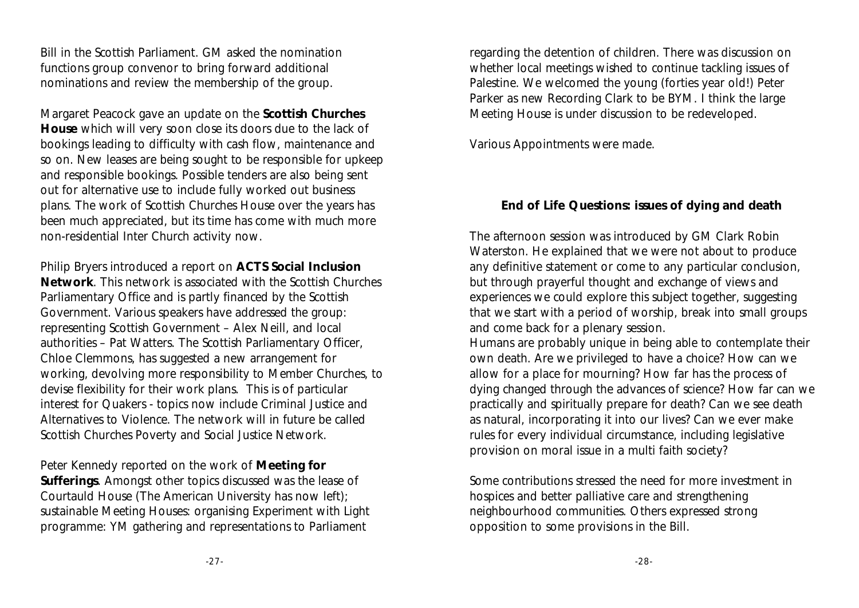Bill in the Scottish Parliament. GM asked the nomination functions group convenor to bring forward additional nominations and review the membership of the group.

Margaret Peacock gave an update on the **Scottish Churches House** which will very soon close its doors due to the lack of bookings leading to difficulty with cash flow, maintenance and so on. New leases are being sought to be responsible for upkeep and responsible bookings. Possible tenders are also being sent out for alternative use to include fully worked out business plans. The work of Scottish Churches House over the years has been much appreciated, but its time has come with much more non-residential Inter Church activity now.

Philip Bryers introduced a report on **ACTS Social Inclusion Network**. This network is associated with the Scottish Churches Parliamentary Office and is partly financed by the Scottish Government. Various speakers have addressed the group: representing Scottish Government – Alex Neill, and local authorities – Pat Watters. The Scottish Parliamentary Officer, Chloe Clemmons, has suggested a new arrangement for working, devolving more responsibility to Member Churches, to devise flexibility for their work plans. This is of particular interest for Quakers - topics now include Criminal Justice and Alternatives to Violence. The network will in future be called Scottish Churches Poverty and Social Justice Network.

Peter Kennedy reported on the work of **Meeting for Sufferings**. Amongst other topics discussed was the lease of Courtauld House (The American University has now left); sustainable Meeting Houses: organising Experiment with Light programme: YM gathering and representations to Parliament

regarding the detention of children. There was discussion on whether local meetings wished to continue tackling issues of Palestine. We welcomed the young (forties year old!) Peter Parker as new Recording Clark to be BYM. I think the large Meeting House is under discussion to be redeveloped.

Various Appointments were made.

#### **End of Life Questions: issues of dying and death**

The afternoon session was introduced by GM Clark Robin Waterston. He explained that we were not about to produce any definitive statement or come to any particular conclusion, but through prayerful thought and exchange of views and experiences we could explore this subject together, suggesting that we start with a period of worship, break into small groups and come back for a plenary session.

Humans are probably unique in being able to contemplate their own death. Are we privileged to have a choice? How can we allow for a place for mourning? How far has the process of dying changed through the advances of science? How far can we practically and spiritually prepare for death? Can we see death as natural, incorporating it into our lives? Can we ever make rules for every individual circumstance, including legislative provision on moral issue in a multi faith society?

Some contributions stressed the need for more investment in hospices and better palliative care and strengthening neighbourhood communities. Others expressed strong opposition to some provisions in the Bill.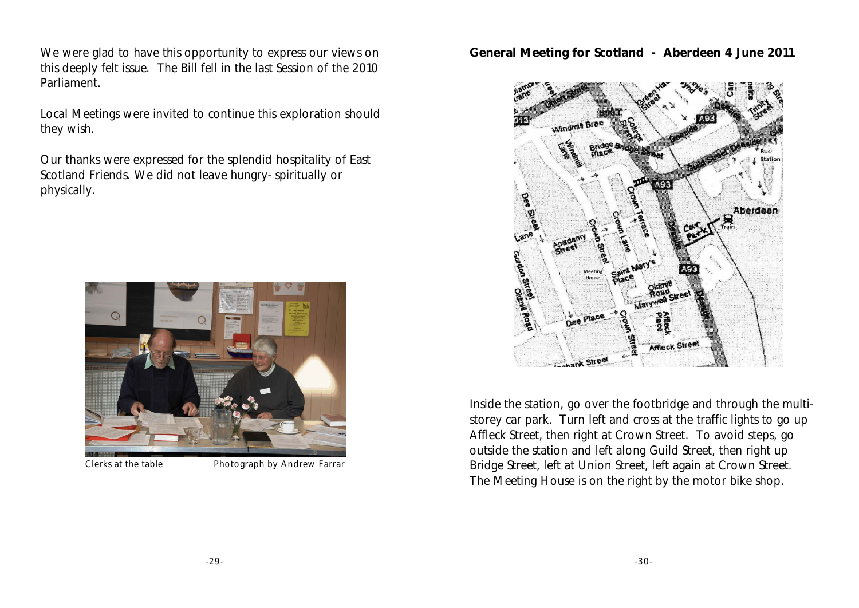We were glad to have this opportunity to express our views on this deeply felt issue. The Bill fell in the last Session of the 2010 Parliament.

Local Meetings were invited to continue this exploration should they wish.

Our thanks were expressed for the splendid hospitality of East Scotland Friends. We did not leave hungry- spiritually or physically.



Clerks at the table Photograph by Andrew Farrar

**General Meeting for Scotland - Aberdeen 4 June 2011**



Inside the station, go over the footbridge and through the multistorey car park. Turn left and cross at the traffic lights to go up Affleck Street, then right at Crown Street. To avoid steps, go outside the station and left along Guild Street, then right up Bridge Street, left at Union Street, left again at Crown Street. The Meeting House is on the right by the motor bike shop.